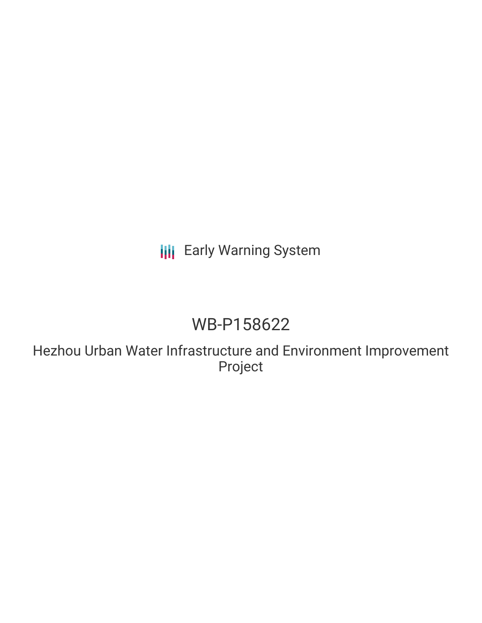## **III** Early Warning System

# WB-P158622

Hezhou Urban Water Infrastructure and Environment Improvement Project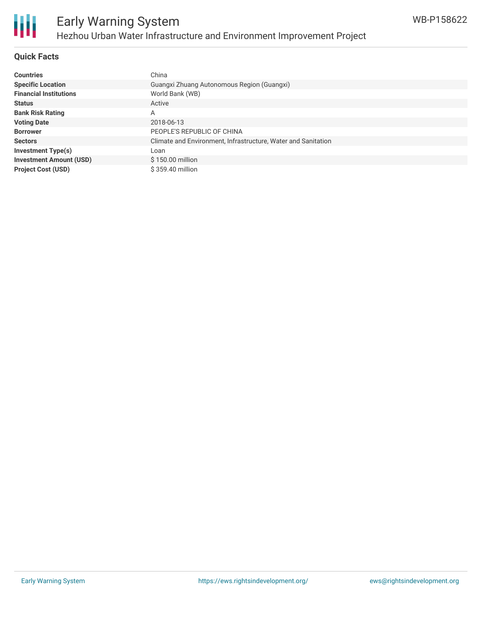

### **Quick Facts**

| <b>Countries</b>               | China                                                         |
|--------------------------------|---------------------------------------------------------------|
| <b>Specific Location</b>       | Guangxi Zhuang Autonomous Region (Guangxi)                    |
| <b>Financial Institutions</b>  | World Bank (WB)                                               |
| <b>Status</b>                  | Active                                                        |
| <b>Bank Risk Rating</b>        | A                                                             |
| <b>Voting Date</b>             | 2018-06-13                                                    |
| <b>Borrower</b>                | PEOPLE'S REPUBLIC OF CHINA                                    |
| <b>Sectors</b>                 | Climate and Environment, Infrastructure, Water and Sanitation |
| <b>Investment Type(s)</b>      | Loan                                                          |
| <b>Investment Amount (USD)</b> | \$150.00 million                                              |
| <b>Project Cost (USD)</b>      | \$359.40 million                                              |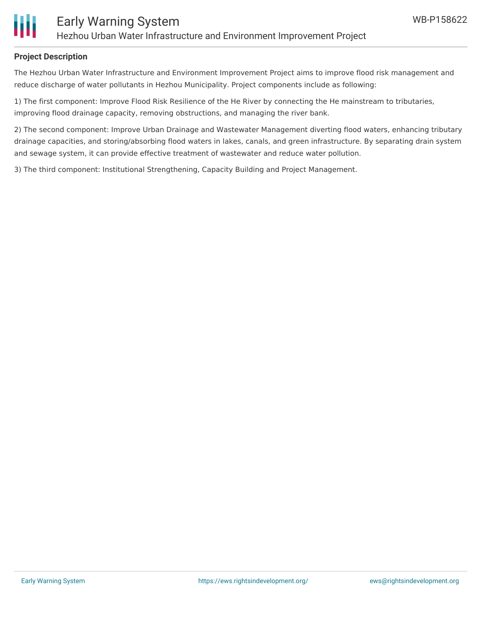

#### **Project Description**

The Hezhou Urban Water Infrastructure and Environment Improvement Project aims to improve flood risk management and reduce discharge of water pollutants in Hezhou Municipality. Project components include as following:

1) The first component: Improve Flood Risk Resilience of the He River by connecting the He mainstream to tributaries, improving flood drainage capacity, removing obstructions, and managing the river bank.

2) The second component: Improve Urban Drainage and Wastewater Management diverting flood waters, enhancing tributary drainage capacities, and storing/absorbing flood waters in lakes, canals, and green infrastructure. By separating drain system and sewage system, it can provide effective treatment of wastewater and reduce water pollution.

3) The third component: Institutional Strengthening, Capacity Building and Project Management.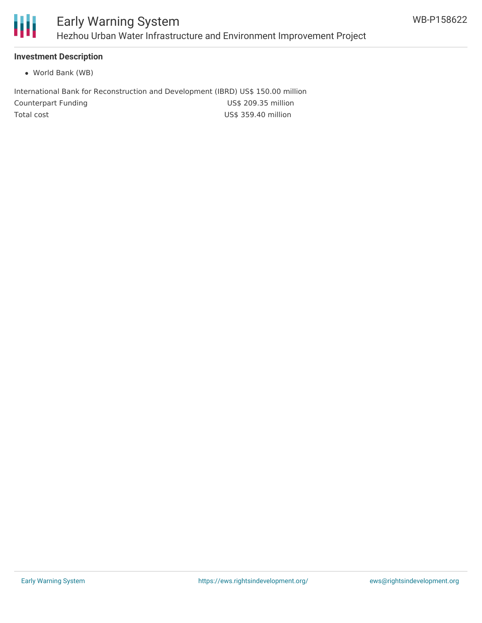

### **Investment Description**

World Bank (WB)

International Bank for Reconstruction and Development (IBRD) US\$ 150.00 million Counterpart Funding Counterpart Funding Counterpart Funding Total cost and the US\$ 359.40 million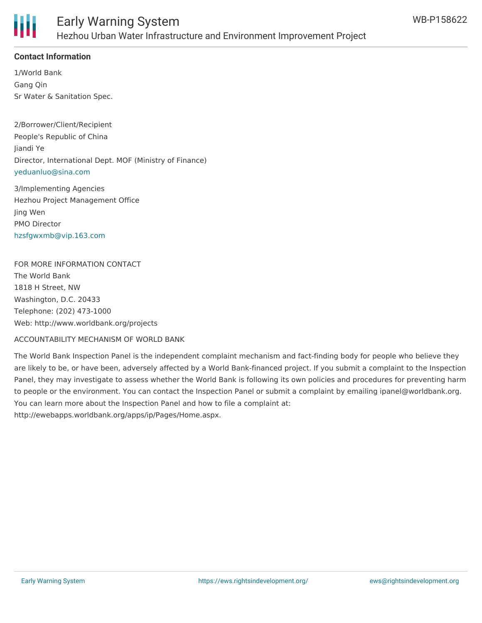

### **Contact Information**

1/World Bank Gang Qin Sr Water & Sanitation Spec.

2/Borrower/Client/Recipient People's Republic of China Jiandi Ye Director, International Dept. MOF (Ministry of Finance) [yeduanluo@sina.com](mailto:yeduanluo@sina.com)

3/Implementing Agencies Hezhou Project Management Office Jing Wen PMO Director [hzsfgwxmb@vip.163.com](mailto:hzsfgwxmb@vip.163.com)

FOR MORE INFORMATION CONTACT The World Bank 1818 H Street, NW Washington, D.C. 20433 Telephone: (202) 473-1000 Web: http://www.worldbank.org/projects

ACCOUNTABILITY MECHANISM OF WORLD BANK

The World Bank Inspection Panel is the independent complaint mechanism and fact-finding body for people who believe they are likely to be, or have been, adversely affected by a World Bank-financed project. If you submit a complaint to the Inspection Panel, they may investigate to assess whether the World Bank is following its own policies and procedures for preventing harm to people or the environment. You can contact the Inspection Panel or submit a complaint by emailing ipanel@worldbank.org. You can learn more about the Inspection Panel and how to file a complaint at: http://ewebapps.worldbank.org/apps/ip/Pages/Home.aspx.